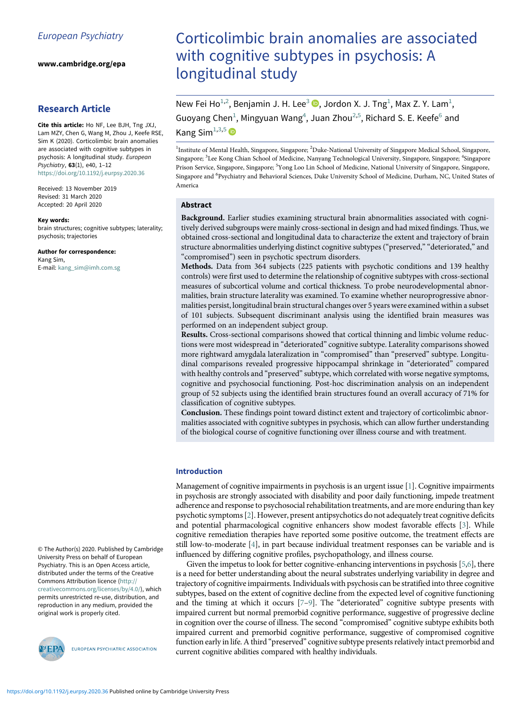www.cambridge.org/epa

# Research Article

<span id="page-0-1"></span><span id="page-0-0"></span>Cite this article: Ho NF, Lee BJH, Tng JXJ, Lam MZY, Chen G, Wang M, Zhou J, Keefe RSE, Sim K (2020). Corticolimbic brain anomalies are associated with cognitive subtypes in psychosis: A longitudinal study. European Psychiatry, 63(1), e40, 1–12 <https://doi.org/10.1192/j.eurpsy.2020.36>

<span id="page-0-3"></span><span id="page-0-2"></span>Received: 13 November 2019 Revised: 31 March 2020 Accepted: 20 April 2020

#### Key words:

brain structures; cognitive subtypes; laterality; psychosis; trajectories

Author for correspondence: Kang Sim, E-mail: [kang\\_sim@imh.com.sg](mailto:kang_sim@imh.com.sg)

© The Author(s) 2020. Published by Cambridge University Press on behalf of European Psychiatry. This is an Open Access article, distributed under the terms of the Creative Commons Attribution licence ([http://](http://creativecommons.org/licenses/by/4.0/) [creativecommons.org/licenses/by/4.0/\)](http://creativecommons.org/licenses/by/4.0/), which permits unrestricted re-use, distribution, and reproduction in any medium, provided the original work is properly cited.



EUROPEAN PSYCHIATRIC ASSOCIATION

# Corticolimbic brain anomalies are associated with cognitive subtypes in psychosis: A longitudinal study

New Fei Ho<sup>[1,2](#page-0-0)</sup>, Benjamin J. H. Lee<sup>[3](#page-0-1)</sup>  $\bullet$ [,](https://orcid.org/0000-0001-9899-4119) Jordon X. J. Tng<sup>[1](#page-0-0)</sup>, Max Z. Y. Lam<sup>1</sup>, Guoyang Chen<sup>[1](#page-0-0)</sup>, Mingyuan Wang<sup>4</sup>, Juan Zhou<sup>[2](#page-0-0),[5](#page-0-2)</sup>, Richard S. E. Keefe<sup>[6](#page-0-3)</sup> and Kang Sim $^{1,3,5}$  $^{1,3,5}$  $^{1,3,5}$  $^{1,3,5}$  $^{1,3,5}$  D

<sup>1</sup>Institute of Mental Health, Singapore, Singapore; <sup>2</sup>Duke-National University of Singapore Medical School, Singapore, Singapore; <sup>3</sup>Lee Kong Chian School of Medicine, Nanyang Technological University, Singapore, Singapore; <sup>4</sup>Singapore Prison Service, Singapore, Singapore; <sup>5</sup>Yong Loo Lin School of Medicine, National University of Singapore, Singapore, Singapore and <sup>6</sup>Psychiatry and Behavioral Sciences, Duke University School of Medicine, Durham, NC, United States of America

## Abstract

Background. Earlier studies examining structural brain abnormalities associated with cognitively derived subgroups were mainly cross-sectional in design and had mixed findings. Thus, we obtained cross-sectional and longitudinal data to characterize the extent and trajectory of brain structure abnormalities underlying distinct cognitive subtypes ("preserved," "deteriorated," and "compromised") seen in psychotic spectrum disorders.

Methods. Data from 364 subjects (225 patients with psychotic conditions and 139 healthy controls) were first used to determine the relationship of cognitive subtypes with cross-sectional measures of subcortical volume and cortical thickness. To probe neurodevelopmental abnormalities, brain structure laterality was examined. To examine whether neuroprogressive abnormalities persist, longitudinal brain structural changes over 5 years were examined within a subset of 101 subjects. Subsequent discriminant analysis using the identified brain measures was performed on an independent subject group.

Results. Cross-sectional comparisons showed that cortical thinning and limbic volume reductions were most widespread in "deteriorated" cognitive subtype. Laterality comparisons showed more rightward amygdala lateralization in "compromised" than "preserved" subtype. Longitudinal comparisons revealed progressive hippocampal shrinkage in "deteriorated" compared with healthy controls and "preserved" subtype, which correlated with worse negative symptoms, cognitive and psychosocial functioning. Post-hoc discrimination analysis on an independent group of 52 subjects using the identified brain structures found an overall accuracy of 71% for classification of cognitive subtypes.

Conclusion. These findings point toward distinct extent and trajectory of corticolimbic abnormalities associated with cognitive subtypes in psychosis, which can allow further understanding of the biological course of cognitive functioning over illness course and with treatment.

## Introduction

Management of cognitive impairments in psychosis is an urgent issue [[1\]](#page-11-0). Cognitive impairments in psychosis are strongly associated with disability and poor daily functioning, impede treatment adherence and response to psychosocial rehabilitation treatments, and are more enduring than key psychotic symptoms [[2](#page-11-1)]. However, present antipsychotics do not adequately treat cognitive deficits and potential pharmacological cognitive enhancers show modest favorable effects [\[3\]](#page-11-2). While cognitive remediation therapies have reported some positive outcome, the treatment effects are still low-to-moderate [\[4\]](#page-11-3), in part because individual treatment responses can be variable and is influenced by differing cognitive profiles, psychopathology, and illness course.

Given the impetus to look for better cognitive-enhancing interventions in psychosis [[5](#page-11-4)[,6\]](#page-11-5), there is a need for better understanding about the neural substrates underlying variability in degree and trajectory of cognitive impairments. Individuals with psychosis can be stratified into three cognitive subtypes, based on the extent of cognitive decline from the expected level of cognitive functioning and the timing at which it occurs [\[7](#page-11-6)–[9](#page-11-7)]. The "deteriorated" cognitive subtype presents with impaired current but normal premorbid cognitive performance, suggestive of progressive decline in cognition over the course of illness. The second "compromised" cognitive subtype exhibits both impaired current and premorbid cognitive performance, suggestive of compromised cognitive function early in life. A third "preserved" cognitive subtype presents relatively intact premorbid and current cognitive abilities compared with healthy individuals.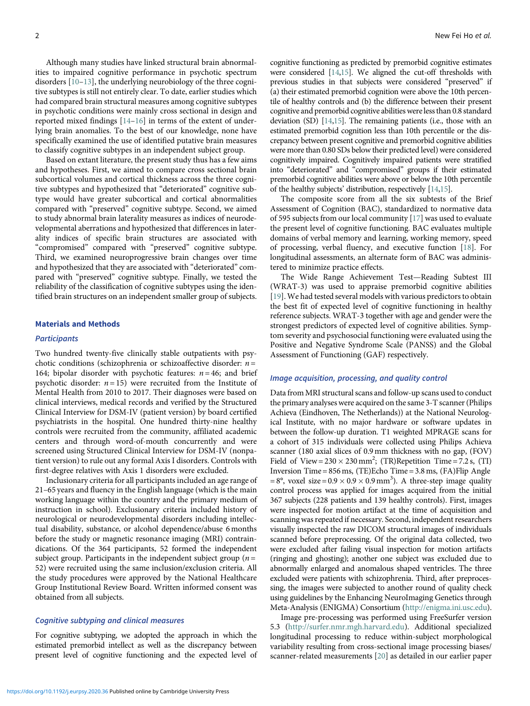Although many studies have linked structural brain abnormalities to impaired cognitive performance in psychotic spectrum disorders [[10](#page-11-8)–[13\]](#page-11-9), the underlying neurobiology of the three cognitive subtypes is still not entirely clear. To date, earlier studies which had compared brain structural measures among cognitive subtypes in psychotic conditions were mainly cross sectional in design and reported mixed findings [[14](#page-11-10)–[16\]](#page-11-11) in terms of the extent of underlying brain anomalies. To the best of our knowledge, none have specifically examined the use of identified putative brain measures to classify cognitive subtypes in an independent subject group.

Based on extant literature, the present study thus has a few aims and hypotheses. First, we aimed to compare cross sectional brain subcortical volumes and cortical thickness across the three cognitive subtypes and hypothesized that "deteriorated" cognitive subtype would have greater subcortical and cortical abnormalities compared with "preserved" cognitive subtype. Second, we aimed to study abnormal brain laterality measures as indices of neurodevelopmental aberrations and hypothesized that differences in laterality indices of specific brain structures are associated with "compromised" compared with "preserved" cognitive subtype. Third, we examined neuroprogressive brain changes over time and hypothesized that they are associated with "deteriorated" compared with "preserved" cognitive subtype. Finally, we tested the reliability of the classification of cognitive subtypes using the identified brain structures on an independent smaller group of subjects.

#### Materials and Methods

#### **Participants**

Two hundred twenty-five clinically stable outpatients with psychotic conditions (schizophrenia or schizoaffective disorder:  $n =$ 164; bipolar disorder with psychotic features:  $n = 46$ ; and brief psychotic disorder:  $n = 15$ ) were recruited from the Institute of Mental Health from 2010 to 2017. Their diagnoses were based on clinical interviews, medical records and verified by the Structured Clinical Interview for DSM-IV (patient version) by board certified psychiatrists in the hospital. One hundred thirty-nine healthy controls were recruited from the community, affiliated academic centers and through word-of-mouth concurrently and were screened using Structured Clinical Interview for DSM-IV (nonpatient version) to rule out any formal Axis I disorders. Controls with first-degree relatives with Axis 1 disorders were excluded.

Inclusionary criteria for all participants included an age range of 21–65 years and fluency in the English language (which is the main working language within the country and the primary medium of instruction in school). Exclusionary criteria included history of neurological or neurodevelopmental disorders including intellectual disability, substance, or alcohol dependence/abuse 6 months before the study or magnetic resonance imaging (MRI) contraindications. Of the 364 participants, 52 formed the independent subject group. Participants in the independent subject group ( $n =$ 52) were recruited using the same inclusion/exclusion criteria. All the study procedures were approved by the National Healthcare Group Institutional Review Board. Written informed consent was obtained from all subjects.

#### Cognitive subtyping and clinical measures

For cognitive subtyping, we adopted the approach in which the estimated premorbid intellect as well as the discrepancy between present level of cognitive functioning and the expected level of cognitive functioning as predicted by premorbid cognitive estimates were considered [\[14](#page-11-10)[,15\]](#page-11-12). We aligned the cut-off thresholds with previous studies in that subjects were considered "preserved" if (a) their estimated premorbid cognition were above the 10th percentile of healthy controls and (b) the difference between their present cognitive and premorbid cognitive abilities were less than 0.8 standard deviation (SD) [[14](#page-11-10)[,15\]](#page-11-12). The remaining patients (i.e., those with an estimated premorbid cognition less than 10th percentile or the discrepancy between present cognitive and premorbid cognitive abilities were more than 0.80 SDs below their predicted level) were considered cognitively impaired. Cognitively impaired patients were stratified into "deteriorated" and "compromised" groups if their estimated premorbid cognitive abilities were above or below the 10th percentile of the healthy subjects' distribution, respectively [\[14,](#page-11-10)[15](#page-11-12)].

The composite score from all the six subtests of the Brief Assessment of Cognition (BAC), standardized to normative data of 595 subjects from our local community [[17\]](#page-11-13) was used to evaluate the present level of cognitive functioning. BAC evaluates multiple domains of verbal memory and learning, working memory, speed of processing, verbal fluency, and executive function [[18\]](#page-11-14). For longitudinal assessments, an alternate form of BAC was administered to minimize practice effects.

The Wide Range Achievement Test—Reading Subtest III (WRAT-3) was used to appraise premorbid cognitive abilities [[19](#page-11-15)]. We had tested several models with various predictors to obtain the best fit of expected level of cognitive functioning in healthy reference subjects. WRAT-3 together with age and gender were the strongest predictors of expected level of cognitive abilities. Symptom severity and psychosocial functioning were evaluated using the Positive and Negative Syndrome Scale (PANSS) and the Global Assessment of Functioning (GAF) respectively.

#### Image acquisition, processing, and quality control

Data from MRI structural scans and follow-up scans used to conduct the primary analyses were acquired on the same 3-T scanner (Philips Achieva (Eindhoven, The Netherlands)) at the National Neurological Institute, with no major hardware or software updates in between the follow-up duration. T1 weighted MPRAGE scans for a cohort of 315 individuals were collected using Philips Achieva scanner (180 axial slices of 0.9 mm thickness with no gap, (FOV) Field of View =  $230 \times 230$  mm<sup>2</sup>; (TR)Repetition Time = 7.2 s, (TI) Inversion Time = 856ms, (TE)Echo Time = 3.8 ms, (FA)Flip Angle  $= 8^\circ$ , voxel size  $= 0.9 \times 0.9 \times 0.9$  mm<sup>3</sup>). A three-step image quality control process was applied for images acquired from the initial 367 subjects (228 patients and 139 healthy controls). First, images were inspected for motion artifact at the time of acquisition and scanning was repeated if necessary. Second, independent researchers visually inspected the raw DICOM structural images of individuals scanned before preprocessing. Of the original data collected, two were excluded after failing visual inspection for motion artifacts (ringing and ghosting); another one subject was excluded due to abnormally enlarged and anomalous shaped ventricles. The three excluded were patients with schizophrenia. Third, after preprocessing, the images were subjected to another round of quality check using guidelines by the Enhancing NeuroImaging Genetics through Meta-Analysis (ENIGMA) Consortium [\(http://enigma.ini.usc.edu](http://enigma.ini.usc.edu)).

Image pre-processing was performed using FreeSurfer version 5.3 ([http://surfer.nmr.mgh.harvard.edu\)](http://surfer.nmr.mgh.harvard.edu). Additional specialized longitudinal processing to reduce within-subject morphological variability resulting from cross-sectional image processing biases/ scanner-related measurements [\[20](#page-11-16)] as detailed in our earlier paper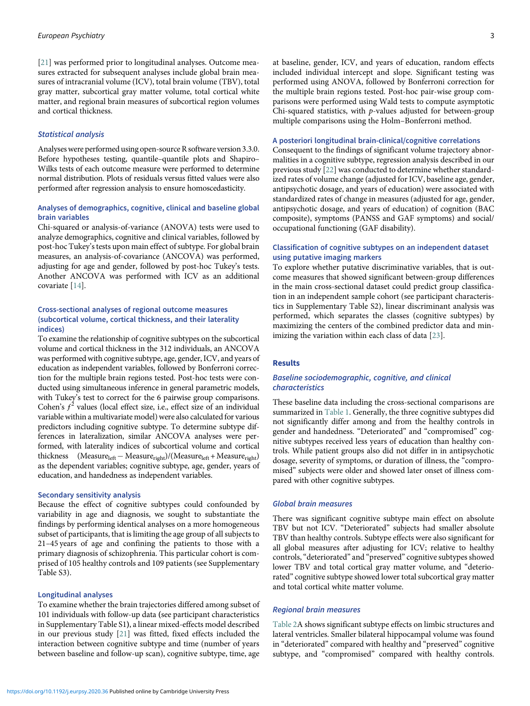[[21\]](#page-11-17) was performed prior to longitudinal analyses. Outcome measures extracted for subsequent analyses include global brain measures of intracranial volume (ICV), total brain volume (TBV), total gray matter, subcortical gray matter volume, total cortical white matter, and regional brain measures of subcortical region volumes and cortical thickness.

## Statistical analysis

Analyses were performed using open-source R software version 3.3.0. Before hypotheses testing, quantile–quantile plots and Shapiro– Wilks tests of each outcome measure were performed to determine normal distribution. Plots of residuals versus fitted values were also performed after regression analysis to ensure homoscedasticity.

## Analyses of demographics, cognitive, clinical and baseline global brain variables

Chi-squared or analysis-of-variance (ANOVA) tests were used to analyze demographics, cognitive and clinical variables, followed by post-hoc Tukey's tests upon main effect of subtype. For global brain measures, an analysis-of-covariance (ANCOVA) was performed, adjusting for age and gender, followed by post-hoc Tukey's tests. Another ANCOVA was performed with ICV as an additional covariate [\[14](#page-11-10)].

## Cross-sectional analyses of regional outcome measures (subcortical volume, cortical thickness, and their laterality indices)

To examine the relationship of cognitive subtypes on the subcortical volume and cortical thickness in the 312 individuals, an ANCOVA was performed with cognitive subtype, age, gender, ICV, and years of education as independent variables, followed by Bonferroni correction for the multiple brain regions tested. Post-hoc tests were conducted using simultaneous inference in general parametric models, with Tukey's test to correct for the 6 pairwise group comparisons. Cohen's  $f^2$  values (local effect size, i.e., effect size of an individual variable within a multivariate model) were also calculated for various predictors including cognitive subtype. To determine subtype differences in lateralization, similar ANCOVA analyses were performed, with laterality indices of subcortical volume and cortical thickness  $(Measure<sub>left</sub> - Measure<sub>right</sub>)/(Measure<sub>left</sub> + Measure<sub>right</sub>)$ as the dependent variables; cognitive subtype, age, gender, years of education, and handedness as independent variables.

## Secondary sensitivity analysis

Because the effect of cognitive subtypes could confounded by variability in age and diagnosis, we sought to substantiate the findings by performing identical analyses on a more homogeneous subset of participants, that is limiting the age group of all subjects to 21–45 years of age and confining the patients to those with a primary diagnosis of schizophrenia. This particular cohort is comprised of 105 healthy controls and 109 patients (see Supplementary Table S3).

#### Longitudinal analyses

To examine whether the brain trajectories differed among subset of 101 individuals with follow-up data (see participant characteristics in Supplementary Table S1), a linear mixed-effects model described in our previous study [\[21](#page-11-17)] was fitted, fixed effects included the interaction between cognitive subtype and time (number of years between baseline and follow-up scan), cognitive subtype, time, age

at baseline, gender, ICV, and years of education, random effects included individual intercept and slope. Significant testing was performed using ANOVA, followed by Bonferroni correction for the multiple brain regions tested. Post-hoc pair-wise group comparisons were performed using Wald tests to compute asymptotic Chi-squared statistics, with p-values adjusted for between-group multiple comparisons using the Holm–Bonferroni method.

#### A posteriori longitudinal brain-clinical/cognitive correlations

Consequent to the findings of significant volume trajectory abnormalities in a cognitive subtype, regression analysis described in our previous study [\[22](#page-11-18)] was conducted to determine whether standardized rates of volume change (adjusted for ICV, baseline age, gender, antipsychotic dosage, and years of education) were associated with standardized rates of change in measures (adjusted for age, gender, antipsychotic dosage, and years of education) of cognition (BAC composite), symptoms (PANSS and GAF symptoms) and social/ occupational functioning (GAF disability).

## Classification of cognitive subtypes on an independent dataset using putative imaging markers

To explore whether putative discriminative variables, that is outcome measures that showed significant between-group differences in the main cross-sectional dataset could predict group classification in an independent sample cohort (see participant characteristics in Supplementary Table S2), linear discriminant analysis was performed, which separates the classes (cognitive subtypes) by maximizing the centers of the combined predictor data and minimizing the variation within each class of data [[23\]](#page-11-19).

## Results

## Baseline sociodemographic, cognitive, and clinical characteristics

These baseline data including the cross-sectional comparisons are summarized in [Table 1](#page-3-0). Generally, the three cognitive subtypes did not significantly differ among and from the healthy controls in gender and handedness. "Deteriorated" and "compromised" cognitive subtypes received less years of education than healthy controls. While patient groups also did not differ in in antipsychotic dosage, severity of symptoms, or duration of illness, the "compromised" subjects were older and showed later onset of illness compared with other cognitive subtypes.

#### Global brain measures

There was significant cognitive subtype main effect on absolute TBV but not ICV. "Deteriorated" subjects had smaller absolute TBV than healthy controls. Subtype effects were also significant for all global measures after adjusting for ICV; relative to healthy controls,"deteriorated" and "preserved" cognitive subtypes showed lower TBV and total cortical gray matter volume, and "deteriorated" cognitive subtype showed lower total subcortical gray matter and total cortical white matter volume.

## Regional brain measures

[Table 2A](#page-5-0) shows significant subtype effects on limbic structures and lateral ventricles. Smaller bilateral hippocampal volume was found in "deteriorated" compared with healthy and "preserved" cognitive subtype, and "compromised" compared with healthy controls.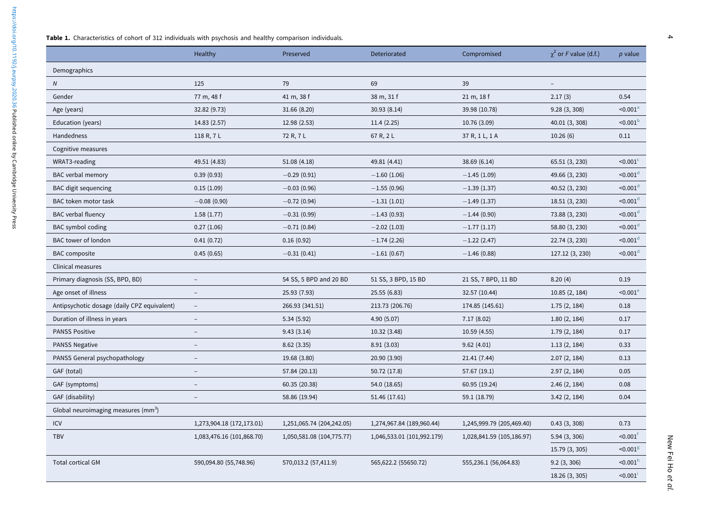<span id="page-3-0"></span>

|                                             | Healthy                   | Preserved                 | Deteriorated               | Compromised               | $\chi^2$ or F value (d.f.) | $p$ value              |
|---------------------------------------------|---------------------------|---------------------------|----------------------------|---------------------------|----------------------------|------------------------|
| Demographics                                |                           |                           |                            |                           |                            |                        |
| N                                           | 125                       | 79                        | 69                         | 39                        | $\overline{\phantom{a}}$   |                        |
| Gender                                      | 77 m, 48 f                | 41 m, 38 f                | 38 m, 31 f                 | 21 m, 18 f                | 2.17(3)                    | 0.54                   |
| Age (years)                                 | 32.82 (9.73)              | 31.66 (8.20)              | 30.93(8.14)                | 39.98 (10.78)             | 9.28(3, 308)               | $< 0.001^{\circ}$      |
| Education (years)                           | 14.83 (2.57)              | 12.98 (2.53)              | 11.4(2.25)                 | 10.76 (3.09)              | 40.01 (3, 308)             | $<$ 0.001 $b$          |
| Handedness                                  | 118 R, 7 L                | 72 R, 7 L                 | 67 R, 2 L                  | 37 R, 1 L, 1 A            | 10.26(6)                   | 0.11                   |
| Cognitive measures                          |                           |                           |                            |                           |                            |                        |
| WRAT3-reading                               | 49.51 (4.83)              | 51.08 (4.18)              | 49.81 (4.41)               | 38.69 (6.14)              | 65.51 (3, 230)             | $<$ 0.001 $<$          |
| BAC verbal memory                           | 0.39(0.93)                | $-0.29(0.91)$             | $-1.60(1.06)$              | $-1.45(1.09)$             | 49.66 (3, 230)             | $<$ 0.001 $d$          |
| <b>BAC</b> digit sequencing                 | 0.15(1.09)                | $-0.03(0.96)$             | $-1.55(0.96)$              | $-1.39(1.37)$             | 40.52 (3, 230)             | $< 0.001$ <sup>d</sup> |
| BAC token motor task                        | $-0.08(0.90)$             | $-0.72(0.94)$             | $-1.31(1.01)$              | $-1.49(1.37)$             | 18.51 (3, 230)             | $<$ 0.001 $d$          |
| <b>BAC</b> verbal fluency                   | 1.58(1.77)                | $-0.31(0.99)$             | $-1.43(0.93)$              | $-1.44(0.90)$             | 73.88 (3, 230)             | $< 0.001$ <sup>d</sup> |
| BAC symbol coding                           | 0.27(1.06)                | $-0.71(0.84)$             | $-2.02(1.03)$              | $-1.77(1.17)$             | 58.80 (3, 230)             | $< 0.001$ <sup>d</sup> |
| BAC tower of london                         | 0.41(0.72)                | 0.16(0.92)                | $-1.74(2.26)$              | $-1.22(2.47)$             | 22.74 (3, 230)             | $< 0.001$ <sup>d</sup> |
| <b>BAC</b> composite                        | 0.45(0.65)                | $-0.31(0.41)$             | $-1.61(0.67)$              | $-1.46(0.88)$             | 127.12 (3, 230)            | $< 0.001$ <sup>d</sup> |
| Clinical measures                           |                           |                           |                            |                           |                            |                        |
| Primary diagnosis (SS, BPD, BD)             |                           | 54 SS, 5 BPD and 20 BD    | 51 SS, 3 BPD, 15 BD        | 21 SS, 7 BPD, 11 BD       | 8.20(4)                    | 0.19                   |
| Age onset of illness                        | $\overline{\phantom{a}}$  | 25.93 (7.93)              | 25.55 (6.83)               | 32.57 (10.44)             | 10.85 (2, 184)             | $<$ 0.001 $<$          |
| Antipsychotic dosage (daily CPZ equivalent) | $\overline{\phantom{a}}$  | 266.93 (341.51)           | 213.73 (206.76)            | 174.85 (145.61)           | 1.75(2, 184)               | 0.18                   |
| Duration of illness in years                | $\overline{\phantom{a}}$  | 5.34(5.92)                | 4.90 (5.07)                | 7.17(8.02)                | 1.80(2, 184)               | 0.17                   |
| <b>PANSS Positive</b>                       |                           | 9.43(3.14)                | 10.32 (3.48)               | 10.59 (4.55)              | 1.79(2, 184)               | 0.17                   |
| <b>PANSS Negative</b>                       | $\overline{a}$            | 8.62(3.35)                | 8.91(3.03)                 | 9.62(4.01)                | 1.13(2, 184)               | 0.33                   |
| PANSS General psychopathology               |                           | 19.68 (3.80)              | 20.90 (3.90)               | 21.41 (7.44)              | 2.07(2, 184)               | 0.13                   |
| GAF (total)                                 | $\overline{\phantom{a}}$  | 57.84 (20.13)             | 50.72 (17.8)               | 57.67 (19.1)              | 2.97(2, 184)               | 0.05                   |
| GAF (symptoms)                              | $\overline{\phantom{a}}$  | 60.35 (20.38)             | 54.0 (18.65)               | 60.95 (19.24)             | 2.46(2, 184)               | 0.08                   |
| GAF (disability)                            | $\overline{\phantom{a}}$  | 58.86 (19.94)             | 51.46 (17.61)              | 59.1 (18.79)              | 3.42(2, 184)               | 0.04                   |
| Global neuroimaging measures ( $mm3$ )      |                           |                           |                            |                           |                            |                        |
| ICV                                         | 1,273,904.18 (172,173.01) | 1,251,065.74 (204,242.05) | 1,274,967.84 (189,960.44)  | 1,245,999.79 (205,469.40) | 0.43(3, 308)               | 0.73                   |
| <b>TBV</b>                                  | 1,083,476.16 (101,868.70) | 1,050,581.08 (104,775.77) | 1,046,533.01 (101,992.179) | 1,028,841.59 (105,186.97) | 5.94 (3, 306)              | < 0.001                |
|                                             |                           |                           |                            |                           | 15.79 (3, 305)             | $<$ 0.001 $^{\rm g}$   |
| <b>Total cortical GM</b>                    | 590,094.80 (55,748.96)    | 570,013.2 (57,411.9)      | 565,622.2 (55650.72)       | 555,236.1 (56,064.83)     | 9.2(3, 306)                | $-0.001$ <sup>h</sup>  |
|                                             |                           |                           |                            |                           | 18.26 (3, 305)             | < 0.001                |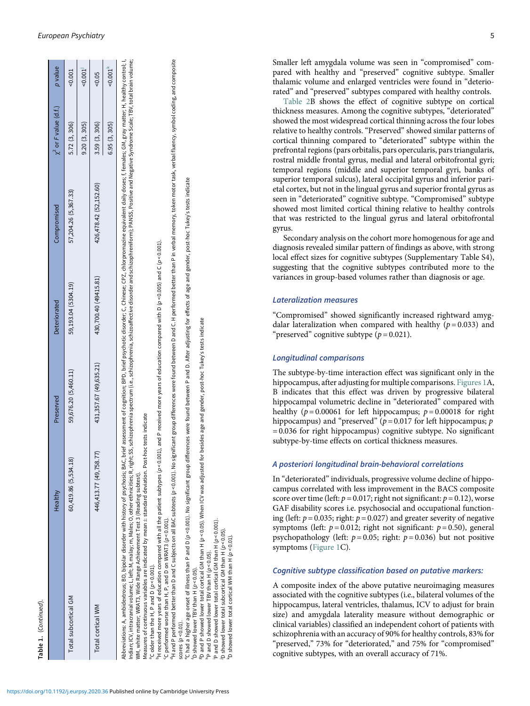<span id="page-4-1"></span>

|                      | Healthy                | Preserved              | Deteriorated          | Compromised            | $\chi^2$ or F value (d.f.) | p value                |
|----------------------|------------------------|------------------------|-----------------------|------------------------|----------------------------|------------------------|
| Total subcortical GM | 60,419.86 (5,534.18)   | 59,676.20 (5,460.11)   | 59,193.04 (5304.19)   | 57,204.26 (5,367.33)   | 5.72 (3, 306)              | $-0.001$               |
|                      |                        |                        |                       |                        | 9.20(3, 305)               | $-0.001$               |
| Total cortical WM    | 446,413.77 (49,758.77) | 431,357.67 (49,635.21) | 430,700.40 (49415.81) | 426,478.42 (52,152.60) | 3.59 (3, 306)              | $-0.05$                |
|                      |                        |                        |                       |                        | 6.95(3, 305)               | $-80.001$ <sup>K</sup> |

Indian; ICV, intracranial volume; L, left; M, malay; m, Males; O, other ethnidities; R, right; SS, schizophrenia spectrum (i.e., schizophrenia, schizoaffective disorder and schizophreniform); PANSS, Positive and Negative S ndian; ICV, intracranial volume; L, eft; M, malay; m, Males; O, other ethnicities; R, right; SS, schizophrenia spectrum (i.e., schizophrenia, schizophrenia, schizophrenies of hizorder and schizophreniform); PANSS, Positive WM, white matter; WRAT3, Wide Range Achievement Test 3 (Reading subtest). Abbrevi

Measures of continuous variables are indicated by mean±standard deviation. Post-hoc tests indicate<br>°C older than the H, P and D (ρ<0.001).

with all the patient subtypes (p<0.001), and P received more years of education compared with D (p<0.005) and C (p<0.001) <sup>b</sup>H received more years of education compared

<sup>c</sup>C performed worse than H, P, and D on WRAT3 (p < 0.001).

<sup>1</sup>H and P performed better than D and C subjects on all BAC subtests (p < 0.001). No significant group differences were found between D and C. H performed better than P in verbal memory, token motor task, verbal fluency, Measures of continuous variables are indicated by mean±standard deviation. Post-hoc tests indicate<br>°C older than the H, P and D (p <0.001).<br>°C hereived more years of education and with all the patient subtypes (p <0.001), scores  $(p < 0.01)$ .

C had a higher age onset of illness than P and D (p < 0.001). No significant group differences were found between P and D. After adjusting for effects of age and gender, post-hoc Tukey's tests indicate

scores (ρ<0.01).<br>Το Shad a higher rBV than H (ρ<0.05).<br>Το Shad a higher TBV than H (ρ<0.05).<br>Το Shad a higher TBV than H (ρ<0.05). When ICV was adjusted for besides age and gender, post-hoc Tukey's and gender, post-hoc Tu ົD showed lower TBV than H (p <0.05).<br><sup>6</sup>D and P showed lower total cortical GM than H (p <0.05). When ICV was adjusted for besides age and gender, post-hoc Tukey's tests indicate<br><sup>h</sup>P and D showed lower TBV than H (p <0.

 $\mathsf{P}$  and D showed lower TBV than H ( $p$  < 0.05).

total cortical GM than H  $(p < 0.001)$ . ip and D showed lower total contical GM than H (p < 0.0<br>ip showed lower total subcortical GM than H (p < 0.05).<br>ip showed lower total cortical WM than H (p< 0.01).

<span id="page-4-0"></span>Smaller left amygdala volume was seen in "compromised" compared with healthy and "preserved" cognitive subtype. Smaller thalamic volume and enlarged ventricles were found in "deteriorated" and "preserved" subtypes compared with healthy controls.

[Table 2B](#page-5-0) shows the effect of cognitive subtype on cortical thickness measures. Among the cognitive subtypes, "deteriorated" showed the most widespread cortical thinning across the four lobes relative to healthy controls. "Preserved" showed similar patterns of cortical thinning compared to "deteriorated" subtype within the prefrontal regions (pars orbitalis, pars opercularis, pars triangularis, rostral middle frontal gyrus, medial and lateral orbitofrontal gyri; temporal regions (middle and superior temporal gyri, banks of superior temporal sulcus), lateral occipital gyrus and inferior parietal cortex, but not in the lingual gyrus and superior frontal gyrus as seen in "deteriorated" cognitive subtype. "Compromised" subtype showed most limited cortical thining relative to healthy controls that was restricted to the lingual gyrus and lateral orbitofrontal gyrus.

Secondary analysis on the cohort more homogenous for age and diagnosis revealed similar pattern of findings as above, with strong local effect sizes for cognitive subtypes (Supplementary Table S4), suggesting that the cognitive subtypes contributed more to the variances in group-based volumes rather than diagnosis or age.

# Lateralization measures

"Compromised" showed significantly increased rightward amygdalar lateralization when compared with healthy  $(p=0.033)$  and "preserved" cognitive subtype  $(p = 0.021)$ .

# Longitudinal comparisons

The subtype-by-time interaction effect was significant only in the hippocampus, after adjusting for multiple comparisons. [Figures 1](#page-8-0)A, B indicates that this effect was driven by progressive bilateral hippocampal volumetric decline in "deteriorated" compared with healthy ( $p = 0.00061$  for left hippocampus;  $p = 0.00018$  for right hippocampus) and "preserved" ( $p = 0.017$  for left hippocampus;  $p$ = 0.036 for right hippocampus) cognitive subtype. No significant subtype-by-time effects on cortical thickness measures.

# A posteriori longitudinal brain-behavioral correlations

In "deteriorated" individuals, progressive volume decline of hippocampus correlated with less improvement in the BACS composite score over time (left:  $p = 0.017$ ; right not significant:  $p = 0.12$ ), worse GAF disability scores i.e. psychosocial and occupational functioning (left:  $p = 0.035$ ; right:  $p = 0.027$ ) and greater severity of negative symptoms (left:  $p = 0.012$ ; right not significant:  $p = 0.50$ ), general psychopathology (left:  $p = 0.05$ ; right:  $p = 0.036$ ) but not positive symptoms [\(Figure 1](#page-9-0)C).

## Cognitive subtype classification based on putative markers:

A composite index of the above putative neuroimaging measures associated with the cognitive subtypes (i.e., bilateral volumes of the hippocampus, lateral ventricles, thalamus, ICV to adjust for brain size) and amygdala laterality measure without demographic or clinical variables) classified an independent cohort of patients with schizophrenia with an accuracy of 90% for healthy controls, 83% for "preserved," 73% for "deteriorated," and 75% for "compromised" cognitive subtypes, with an overall accuracy of 71%.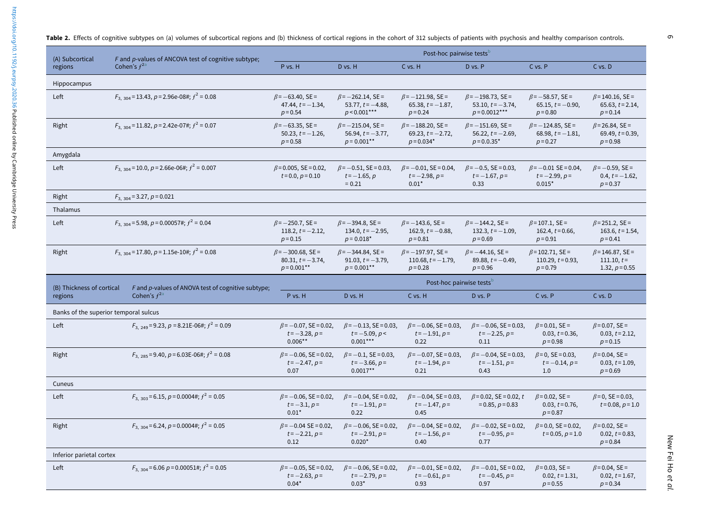Table 2. Effects of cognitive subtypes on (a) volumes of subcortical regions and (b) thickness of cortical regions in the cohort of 312 subjects of patients with psychosis and healthy comparison controls.

<span id="page-5-0"></span>

| (A) Subcortical                                                                                                | F and p-values of ANCOVA test of cognitive subtype; | Post-hoc pairwise tests <sup>b</sup>                             |                                                                   |                                                                 |                                                                    |                                                               |                                                            |  |
|----------------------------------------------------------------------------------------------------------------|-----------------------------------------------------|------------------------------------------------------------------|-------------------------------------------------------------------|-----------------------------------------------------------------|--------------------------------------------------------------------|---------------------------------------------------------------|------------------------------------------------------------|--|
| regions                                                                                                        | Cohen's $f^{2a}$                                    | P vs. H                                                          | D vs. H                                                           | C vs. H                                                         | D vs. P                                                            | C vs. P                                                       | C vs. D                                                    |  |
| Hippocampus                                                                                                    |                                                     |                                                                  |                                                                   |                                                                 |                                                                    |                                                               |                                                            |  |
| Left                                                                                                           | $F_{3, 304}$ = 13.43, p = 2.96e-08#; $f^2$ = 0.08   | $\beta$ = -63.40, SE =<br>47.44, $t = -1.34$ ,<br>$p = 0.54$     | $\beta$ = -262.14, SE =<br>53.77, $t = -4.88$ ,<br>$p < 0.001***$ | $\beta$ = -121.98, SE =<br>65.38, $t = -1.87$ ,<br>$p = 0.24$   | $\beta$ = -198.73, SE =<br>53.10, $t = -3.74$ ,<br>$p = 0.0012***$ | $\beta$ = -58.57, SE =<br>65.15, $t = -0.90$ ,<br>$p = 0.80$  | $\beta$ =140.16, SE =<br>65.63, $t = 2.14$ ,<br>$p = 0.14$ |  |
| Right                                                                                                          | $F_{3, 304}$ = 11.82, p = 2.42e-07#; $f^2$ = 0.07   | $\beta$ = -63.35, SE =<br>50.23, $t = -1.26$ ,<br>$p = 0.58$     | $\beta$ = -215.04, SE =<br>$56.94, t = -3.77,$<br>$p = 0.001**$   | $\beta$ = -188.20, SE =<br>69.23, $t = -2.72$ ,<br>$p = 0.034*$ | $\beta$ = -151.69, SE =<br>56.22, $t = -2.69$ ,<br>$p = 0.0.35*$   | $\beta$ = -124.85, SE =<br>68.98, $t = -1.81$ ,<br>$p = 0.27$ | $\beta$ = 26.84, SE =<br>69.49, $t = 0.39$ ,<br>$p = 0.98$ |  |
| Amygdala                                                                                                       |                                                     |                                                                  |                                                                   |                                                                 |                                                                    |                                                               |                                                            |  |
| Left                                                                                                           | $F_{3,304}$ = 10.0, p = 2.66e-06#; $f^2$ = 0.007    | $\beta$ = 0.005, SE = 0.02,<br>$t = 0.0, p = 0.10$               | $\beta$ = -0.51, SE = 0.03,<br>$t = -1.65, p$<br>$= 0.21$         | $\beta$ = -0.01, SE = 0.04,<br>$t = -2.98, p =$<br>$0.01*$      | $\beta$ = -0.5, SE = 0.03,<br>$t = -1.67, p =$<br>0.33             | $\beta$ = -0.01 SE = 0.04,<br>$t = -2.99, p =$<br>$0.015*$    | $\beta$ = -0.59, SE =<br>0.4, $t = -1.62$ ,<br>$p = 0.37$  |  |
| Right<br>$F_{3, 304} = 3.27, p = 0.021$                                                                        |                                                     |                                                                  |                                                                   |                                                                 |                                                                    |                                                               |                                                            |  |
| Thalamus                                                                                                       |                                                     |                                                                  |                                                                   |                                                                 |                                                                    |                                                               |                                                            |  |
| $F_{3, 304}$ = 5.98, $p$ = 0.00057#; $f^2$ = 0.04<br>Left                                                      |                                                     | $\beta$ = -250.7, SE =<br>118.2, $t = -2.12$ ,<br>$p = 0.15$     | $\beta$ = -394.8, SE =<br>134.0, $t = -2.95$ ,<br>$p = 0.018*$    | $\beta$ = -143.6, SE =<br>162.9, $t = -0.88$ ,<br>$p = 0.81$    | $\beta$ = -144.2, SE =<br>132.3, $t = -1.09$ ,<br>$p = 0.69$       | $\beta$ =107.1, SE =<br>162.4, $t = 0.66$ ,<br>$p = 0.91$     | $\beta$ = 251.2, SE =<br>163.6, $t = 1.54$ ,<br>$p = 0.41$ |  |
| $F_{3,304}$ = 17.80, p = 1.15e-10#; $f^2$ = 0.08<br>Right                                                      |                                                     | $\beta$ = -300.68, SE =<br>80.31, $t = -3.74$ ,<br>$p = 0.001**$ | $\beta$ = -344.84, SE =<br>91.03, $t = -3.79$ ,<br>$p = 0.001**$  | $\beta$ = -197.97, SE =<br>$110.68, t = -1.79,$<br>$p = 0.28$   | $\beta$ = -44.16, SE =<br>89.88, $t = -0.49$ ,<br>$p = 0.96$       | $\beta$ = 102.71, SE =<br>110.29, $t = 0.93$ ,<br>$p = 0.79$  | $\beta$ =146.87, SE =<br>$111.10, t=$<br>1.32, $p = 0.55$  |  |
|                                                                                                                |                                                     | Post-hoc pairwise tests <sup>b</sup>                             |                                                                   |                                                                 |                                                                    |                                                               |                                                            |  |
| F and p-values of ANOVA test of cognitive subtype;<br>(B) Thickness of cortical<br>Cohen's $f^{2a}$<br>regions |                                                     | P vs. H                                                          | D vs. H                                                           | C vs. H                                                         | D vs. P                                                            | C vs. P                                                       | C vs. D                                                    |  |
| Banks of the superior temporal sulcus                                                                          |                                                     |                                                                  |                                                                   |                                                                 |                                                                    |                                                               |                                                            |  |
| Left                                                                                                           | $F_{3,249}$ = 9.23, p = 8.21E-06#; $f^2$ = 0.09     | $\beta$ = -0.07, SE = 0.02,<br>$t = -3.28, p =$<br>$0.006**$     | $\beta$ = -0.13, SE = 0.03,<br>$t = -5.09, p <$<br>$0.001***$     | $\beta$ = -0.06, SE = 0.03,<br>$t = -1.91, p =$<br>0.22         | $\beta$ = -0.06, SE = 0.03,<br>$t = -2.25, p =$<br>0.11            | $\beta$ =0.01, SE =<br>$0.03, t = 0.36,$<br>$p = 0.98$        | $\beta$ =0.07, SE =<br>$0.03, t = 2.12,$<br>$p = 0.15$     |  |
| $F_{3,285}$ = 9.40, p = 6.03E-06#; $f^2$ = 0.08<br>Right                                                       |                                                     | $\beta$ = -0.06, SE = 0.02,<br>$t = -2.47, p =$<br>0.07          | $\beta$ = -0.1, SE = 0.03,<br>$t = -3.66, p =$<br>$0.0017**$      | $\beta$ = -0.07, SE = 0.03,<br>$t = -1.94, p =$<br>0.21         | $\beta$ = -0.04, SE = 0.03,<br>$t = -1.51, p =$<br>0.43            | $\beta$ = 0, SE = 0.03,<br>$t = -0.14, p =$<br>1.0            | $\beta$ =0.04, SE =<br>$0.03, t=1.09,$<br>$p = 0.69$       |  |
| Cuneus                                                                                                         |                                                     |                                                                  |                                                                   |                                                                 |                                                                    |                                                               |                                                            |  |
| Left                                                                                                           | $F_{3, 303}$ = 6.15, p = 0.0004#; $f^2$ = 0.05      | $\beta$ = -0.06, SE = 0.02,<br>$t = -3.1, p =$<br>$0.01*$        | $\beta$ = -0.04, SE = 0.02,<br>$t = -1.91, p =$<br>0.22           | $\beta$ = -0.04, SE = 0.03,<br>$t = -1.47, p =$<br>0.45         | $\beta$ = 0.02, SE = 0.02, t<br>$= 0.85, p = 0.83$                 | $\beta$ =0.02, SE =<br>$0.03, t = 0.76,$<br>$p = 0.87$        | $\beta$ =0, SE = 0.03,<br>$t = 0.08, p = 1.0$              |  |
| $F_{3,304}$ = 6.24, p = 0.0004#; $f^2$ = 0.05<br>Right                                                         |                                                     | $\beta$ = -0.04 SE = 0.02,<br>$t = -2.21, p =$<br>0.12           | $\beta$ = -0.06, SE = 0.02,<br>$t = -2.91, p =$<br>$0.020*$       | $\beta$ = -0.04, SE = 0.02,<br>$t = -1.56, p =$<br>0.40         | $\beta$ = -0.02, SE = 0.02,<br>$t = -0.95, p =$<br>0.77            | $\beta$ =0.0, SE=0.02,<br>$t = 0.05, p = 1.0$                 | $\beta$ =0.02, SE =<br>$0.02, t = 0.83,$<br>$p = 0.84$     |  |
| Inferior parietal cortex                                                                                       |                                                     |                                                                  |                                                                   |                                                                 |                                                                    |                                                               |                                                            |  |
| Left                                                                                                           | $F_{3, 304}$ = 6.06 $p$ = 0.00051#; $f^2$ = 0.05    | $\beta$ = -0.05, SE = 0.02,<br>$t = -2.63, p =$<br>$0.04*$       | $\beta$ = -0.06, SE = 0.02,<br>$t = -2.79, p =$<br>$0.03*$        | $\beta$ = -0.01, SE = 0.02,<br>$t = -0.61, p =$<br>0.93         | $\beta$ = -0.01, SE = 0.02,<br>$t = -0.45, p =$<br>0.97            | $\beta$ =0.03, SE =<br>$0.02, t = 1.31,$<br>$p = 0.55$        | $\beta$ =0.04, SE =<br>$0.02, t=1.67,$<br>$p = 0.34$       |  |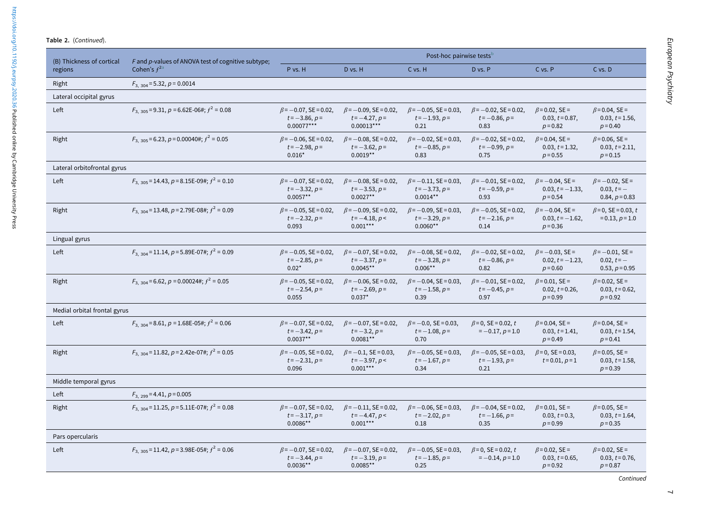|                                         | (B) Thickness of cortical<br>F and p-values of ANOVA test of cognitive subtype; |                                                                 | Post-hoc pairwise tests <sup>b</sup>                            |                                                               |                                                         |                                                           |                                                            |  |  |
|-----------------------------------------|---------------------------------------------------------------------------------|-----------------------------------------------------------------|-----------------------------------------------------------------|---------------------------------------------------------------|---------------------------------------------------------|-----------------------------------------------------------|------------------------------------------------------------|--|--|
| regions                                 | Cohen's $f^{2a}$                                                                | P vs. H                                                         | D vs. H                                                         | C vs. H                                                       | D vs. P                                                 | C vs. P                                                   | $C$ vs. $D$                                                |  |  |
| Right<br>$F_{3,304}$ = 5.32, p = 0.0014 |                                                                                 |                                                                 |                                                                 |                                                               |                                                         |                                                           |                                                            |  |  |
| Lateral occipital gyrus                 |                                                                                 |                                                                 |                                                                 |                                                               |                                                         |                                                           |                                                            |  |  |
| Left                                    | $F_3$ 305 = 9.31, p = 6.62E-06#; $f^2$ = 0.08                                   | $\beta$ = -0.07, SE = 0.02,<br>$t = -3.86, p =$<br>$0.00077***$ | $\beta$ = -0.09, SE = 0.02,<br>$t = -4.27, p =$<br>$0.00013***$ | $\beta$ = -0.05, SE = 0.03,<br>$t = -1.93, p =$<br>0.21       | $\beta$ = -0.02, SE = 0.02,<br>$t = -0.86, p =$<br>0.83 | $\beta$ =0.02, SE =<br>$0.03, t = 0.87,$<br>$p = 0.82$    | $\beta$ =0.04, SE =<br>$0.03, t = 1.56,$<br>$p = 0.40$     |  |  |
| Right                                   | $F_3$ 305 = 6.23, p = 0.00040#; $f^2$ = 0.05                                    | $\beta$ = -0.06, SE = 0.02,<br>$t = -2.98, p =$<br>$0.016*$     | $\beta$ = -0.08, SE = 0.02,<br>$t = -3.62, p =$<br>$0.0019**$   | $\beta$ = -0.02, SE = 0.03,<br>$t = -0.85, p =$<br>0.83       | $\beta$ = -0.02, SE = 0.02,<br>$t = -0.99, p =$<br>0.75 | $\beta$ =0.04, SE =<br>$0.03, t = 1.32,$<br>$p = 0.55$    | $\beta$ = 0.06, SE =<br>$0.03, t = 2.11,$<br>$p = 0.15$    |  |  |
| Lateral orbitofrontal gyrus             |                                                                                 |                                                                 |                                                                 |                                                               |                                                         |                                                           |                                                            |  |  |
| Left                                    | $F_{3,305}$ = 14.43, p = 8.15E-09#; $f^2$ = 0.10                                | $\beta$ = -0.07, SE = 0.02,<br>$t = -3.32, p =$<br>$0.0057**$   | $\beta$ = -0.08, SE = 0.02,<br>$t = -3.53, p =$<br>$0.0027**$   | $\beta$ = -0.11, SE = 0.03,<br>$t = -3.73, p =$<br>$0.0014**$ | $\beta$ = -0.01, SE = 0.02,<br>$t = -0.59, p =$<br>0.93 | $\beta$ = -0.04, SE =<br>$0.03, t = -1.33,$<br>$p = 0.54$ | $\beta$ = -0.02, SE =<br>$0.03, t = -$<br>$0.84, p = 0.83$ |  |  |
| Right                                   | $F_3$ 304 = 13.48, p = 2.79E-08#; $f^2$ = 0.09                                  | $\beta$ = -0.05, SE = 0.02,<br>$t = -2.32, p =$<br>0.093        | $\beta$ = -0.09, SE = 0.02,<br>$t = -4.18, p <$<br>$0.001***$   | $\beta$ = -0.09, SE = 0.03,<br>$t = -3.29, p =$<br>$0.0060**$ | $\beta$ = -0.05, SE = 0.02,<br>$t = -2.16, p =$<br>0.14 | $\beta$ = -0.04, SE =<br>$0.03, t = -1.62,$<br>$p = 0.36$ | $\beta$ =0, SE = 0.03, t<br>$= 0.13, p = 1.0$              |  |  |
| Lingual gyrus                           |                                                                                 |                                                                 |                                                                 |                                                               |                                                         |                                                           |                                                            |  |  |
| Left                                    | $F_{3.304}$ = 11.14, p = 5.89E-07#; $f^2$ = 0.09                                | $\beta$ = -0.05, SE = 0.02,<br>$t = -2.85, p =$<br>$0.02*$      | $\beta$ = -0.07, SE = 0.02,<br>$t = -3.37, p =$<br>$0.0045**$   | $\beta$ = -0.08, SE = 0.02,<br>$t = -3.28, p =$<br>$0.006**$  | $\beta$ = -0.02, SE = 0.02,<br>$t = -0.86, p =$<br>0.82 | $\beta$ = -0.03, SE =<br>$0.02, t = -1.23,$<br>$p = 0.60$ | $\beta$ = -0.01, SE =<br>$0.02, t = -$<br>$0.53, p = 0.95$ |  |  |
| Right                                   | $F_{3,304}$ = 6.62, p = 0.00024#; $f^2$ = 0.05                                  | $\beta$ = -0.05, SE = 0.02,<br>$t = -2.54, p =$<br>0.055        | $\beta$ = -0.06, SE = 0.02,<br>$t = -2.69, p =$<br>$0.037*$     | $\beta$ = -0.04, SE = 0.03,<br>$t = -1.58, p =$<br>0.39       | $\beta$ = -0.01, SE = 0.02,<br>$t = -0.45, p =$<br>0.97 | $\beta$ =0.01, SE =<br>$0.02, t = 0.26,$<br>$p = 0.99$    | $\beta$ =0.02, SE =<br>$0.03, t = 0.62,$<br>$p = 0.92$     |  |  |
| Medial orbital frontal gyrus            |                                                                                 |                                                                 |                                                                 |                                                               |                                                         |                                                           |                                                            |  |  |
| Left                                    | $F_3$ 304 = 8.61, p = 1.68E-05#; $f^2$ = 0.06                                   | $\beta$ = -0.07, SE = 0.02,<br>$t = -3.42, p =$<br>$0.0037**$   | $\beta$ = -0.07, SE = 0.02,<br>$t = -3.2, p =$<br>$0.0081**$    | $\beta$ = -0.0, SE = 0.03,<br>$t = -1.08, p =$<br>0.70        | $\beta$ = 0, SE = 0.02, t<br>$=-0.17, p=1.0$            | $\beta$ = 0.04, SE =<br>$0.03, t=1.41,$<br>$p = 0.49$     | $\beta$ =0.04, SE =<br>$0.03, t=1.54,$<br>$p = 0.41$       |  |  |
| Right                                   | $F_{3,304}$ = 11.82, p = 2.42e-07#; $f^2$ = 0.05                                | $\beta$ = -0.05, SE = 0.02,<br>$t = -2.31, p =$<br>0.096        | $\beta$ = -0.1, SE = 0.03,<br>$t = -3.97, p <$<br>$0.001***$    | $\beta$ = -0.05, SE = 0.03,<br>$t = -1.67, p =$<br>0.34       | $\beta$ = -0.05, SE = 0.03,<br>$t = -1.93, p =$<br>0.21 | $\beta$ = 0, SE = 0.03,<br>$t = 0.01, p = 1$              | $\beta$ = 0.05, SE =<br>$0.03, t=1.58,$<br>$p = 0.39$      |  |  |
| Middle temporal gyrus                   |                                                                                 |                                                                 |                                                                 |                                                               |                                                         |                                                           |                                                            |  |  |
| Left                                    | $F_{3, 299} = 4.41, p = 0.005$                                                  |                                                                 |                                                                 |                                                               |                                                         |                                                           |                                                            |  |  |
| Right                                   | $F_3$ 304 = 11.25, p = 5.11E-07#; $f^2$ = 0.08                                  | $\beta$ = -0.07, SE = 0.02,<br>$t = -3.17, p =$<br>$0.0086**$   | $\beta$ = -0.11, SE = 0.02,<br>$t = -4.47, p <$<br>$0.001***$   | $\beta$ = -0.06, SE = 0.03,<br>$t = -2.02, p =$<br>0.18       | $\beta$ = -0.04, SE = 0.02,<br>$t = -1.66, p =$<br>0.35 | $\beta$ =0.01, SE =<br>$0.03, t = 0.3,$<br>$p = 0.99$     | $\beta$ = 0.05, SE =<br>$0.03, t=1.64,$<br>$p = 0.35$      |  |  |
| Pars opercularis                        |                                                                                 |                                                                 |                                                                 |                                                               |                                                         |                                                           |                                                            |  |  |
| Left                                    | $F_{3,305}$ = 11.42, p = 3.98E-05#; $f^2$ = 0.06                                | $\beta$ = -0.07, SE = 0.02,<br>$t = -3.44, p =$<br>$0.0036**$   | $\beta$ = -0.07, SE = 0.02,<br>$t = -3.19, p =$<br>$0.0085**$   | $\beta$ = -0.05, SE = 0.03,<br>$t = -1.85, p =$<br>0.25       | $\beta$ = 0, SE = 0.02, t<br>$=-0.14, p=1.0$            | $\beta$ =0.02, SE =<br>$0.03, t = 0.65,$<br>$p = 0.92$    | $\beta$ =0.02, SE =<br>$0.03, t = 0.76,$<br>$p = 0.87$     |  |  |

European Psychiatry European Psychiatry

Continued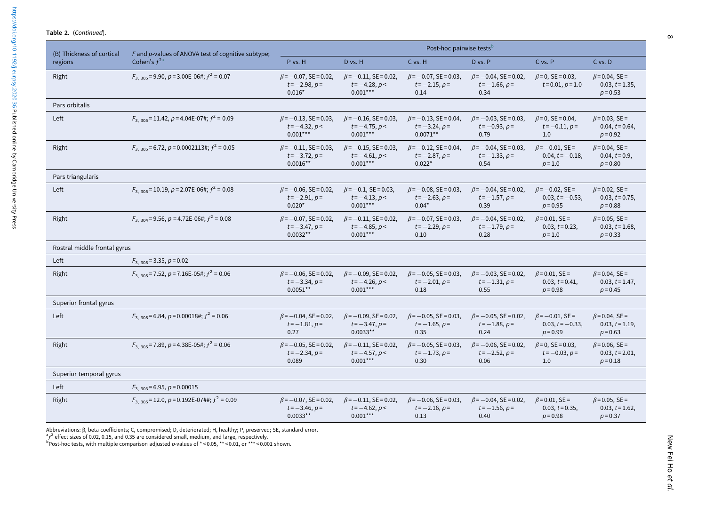|  | Table 2. (Continued). |
|--|-----------------------|
|--|-----------------------|

<span id="page-7-0"></span>

| (B) Thickness of cortical    | F and p-values of ANOVA test of cognitive subtype;<br>Cohen's $f^{2a}$ | Post-hoc pairwise tests <sup>b</sup>                          |                                                               |                                                               |                                                         |                                                           |                                                         |  |
|------------------------------|------------------------------------------------------------------------|---------------------------------------------------------------|---------------------------------------------------------------|---------------------------------------------------------------|---------------------------------------------------------|-----------------------------------------------------------|---------------------------------------------------------|--|
| regions                      |                                                                        | P vs. H                                                       | D vs. H                                                       | C vs. H                                                       | D vs. P                                                 | C vs. P                                                   | $C$ vs. $D$                                             |  |
| Right                        | $F_{3.305}$ = 9.90, p = 3.00E-06#; $f^2$ = 0.07                        | $\beta$ = -0.07, SE = 0.02,<br>$t = -2.98, p =$<br>$0.016*$   | $\beta$ = -0.11, SE = 0.02,<br>$t = -4.28, p <$<br>$0.001***$ | $\beta$ = -0.07, SE = 0.03,<br>$t = -2.15, p =$<br>0.14       | $\beta$ = -0.04, SE = 0.02,<br>$t = -1.66, p =$<br>0.34 | $\beta$ = 0, SE = 0.03,<br>$t = 0.01, p = 1.0$            | $\beta$ =0.04, SE =<br>$0.03, t = 1.35,$<br>$p = 0.53$  |  |
| Pars orbitalis               |                                                                        |                                                               |                                                               |                                                               |                                                         |                                                           |                                                         |  |
| Left                         | $F_{3,305}$ = 11.42, p = 4.04E-07#; $f^2$ = 0.09                       | $\beta$ = -0.13, SE = 0.03,<br>$t = -4.32, p <$<br>$0.001***$ | $\beta$ = -0.16, SE = 0.03,<br>$t = -4.75, p <$<br>$0.001***$ | $\beta$ = -0.13, SE = 0.04,<br>$t = -3.24, p =$<br>$0.0071**$ | $\beta$ = -0.03, SE = 0.03,<br>$t = -0.93, p =$<br>0.79 | $\beta$ =0, SE = 0.04,<br>$t = -0.11, p =$<br>1.0         | $\beta$ =0.03, SE =<br>$0.04, t = 0.64,$<br>$p = 0.92$  |  |
| Right                        | $F_{3,305}$ = 6.72, p = 0.0002113#; $f^2$ = 0.05                       | $\beta$ = -0.11, SE = 0.03,<br>$t = -3.72, p =$<br>$0.0016**$ | $\beta$ = -0.15, SE = 0.03,<br>$t = -4.61, p <$<br>$0.001***$ | $\beta$ = -0.12, SE = 0.04,<br>$t = -2.87, p =$<br>$0.022*$   | $\beta$ = -0.04, SE = 0.03,<br>$t = -1.33, p =$<br>0.54 | $\beta$ = -0.01, SE =<br>$0.04, t = -0.18$<br>$p = 1.0$   | $\beta$ =0.04, SE =<br>$0.04, t = 0.9,$<br>$p = 0.80$   |  |
| Pars triangularis            |                                                                        |                                                               |                                                               |                                                               |                                                         |                                                           |                                                         |  |
| Left                         | $F_3$ 305 = 10.19, p = 2.07E-06#; $f^2$ = 0.08                         | $\beta$ = -0.06, SE = 0.02,<br>$t = -2.91, p =$<br>$0.020*$   | $\beta$ = -0.1, SE = 0.03,<br>$t = -4.13, p <$<br>$0.001***$  | $\beta$ = -0.08, SE = 0.03,<br>$t = -2.63, p =$<br>$0.04*$    | $\beta$ = -0.04, SE = 0.02,<br>$t = -1.57, p =$<br>0.39 | $\beta$ = -0.02, SE =<br>$0.03, t = -0.53,$<br>$p = 0.95$ | $\beta$ = 0.02, SE =<br>$0.03, t = 0.75,$<br>$p = 0.88$ |  |
| Right                        | $F_3$ 304 = 9.56, p = 4.72E-06#; $f^2$ = 0.08                          | $\beta$ = -0.07, SE = 0.02,<br>$t = -3.47, p =$<br>$0.0032**$ | $\beta$ = -0.11, SE = 0.02,<br>$t = -4.85, p <$<br>$0.001***$ | $\beta$ = -0.07, SE = 0.03,<br>$t = -2.29, p =$<br>0.10       | $\beta$ = -0.04, SE = 0.02,<br>$t = -1.79, p =$<br>0.28 | $\beta$ =0.01, SE =<br>$0.03, t = 0.23,$<br>$p = 1.0$     | $\beta$ =0.05, SE =<br>$0.03, t = 1.68,$<br>$p = 0.33$  |  |
| Rostral middle frontal gyrus |                                                                        |                                                               |                                                               |                                                               |                                                         |                                                           |                                                         |  |
| Left                         | $F_{3,305}$ = 3.35, p = 0.02                                           |                                                               |                                                               |                                                               |                                                         |                                                           |                                                         |  |
| Right                        | $F_{3,305}$ = 7.52, p = 7.16E-05#; $f^2$ = 0.06                        | $\beta$ = -0.06, SE = 0.02,<br>$t = -3.34, p =$<br>$0.0051**$ | $\beta$ = -0.09, SE = 0.02,<br>$t = -4.26, p <$<br>$0.001***$ | $\beta$ = -0.05, SE = 0.03,<br>$t = -2.01, p =$<br>0.18       | $\beta$ = -0.03, SE = 0.02,<br>$t = -1.31, p =$<br>0.55 | $\beta$ =0.01, SE =<br>$0.03, t = 0.41,$<br>$p = 0.98$    | $\beta$ =0.04, SE =<br>$0.03, t=1.47,$<br>$p = 0.45$    |  |
| Superior frontal gyrus       |                                                                        |                                                               |                                                               |                                                               |                                                         |                                                           |                                                         |  |
| Left                         | $F_{3,305}$ = 6.84, p = 0.00018#; $f^2$ = 0.06                         | $\beta$ = -0.04, SE = 0.02,<br>$t = -1.81, p =$<br>0.27       | $\beta$ = -0.09, SE = 0.02,<br>$t = -3.47, p =$<br>$0.0033**$ | $\beta$ = -0.05, SE = 0.03,<br>$t = -1.65, p =$<br>0.35       | $\beta$ = -0.05, SE = 0.02,<br>$t = -1.88, p =$<br>0.24 | $\beta$ = -0.01, SE =<br>$0.03, t = -0.33,$<br>$p = 0.99$ | $\beta$ = 0.04, SE =<br>$0.03, t=1.19,$<br>$p = 0.63$   |  |
| Right                        | $F_{3,305}$ = 7.89, p = 4.38E-05#; $f^2$ = 0.06                        | $\beta$ = -0.05, SE = 0.02,<br>$t = -2.34, p =$<br>0.089      | $\beta$ = -0.11, SE = 0.02,<br>$t = -4.57, p <$<br>$0.001***$ | $\beta$ = -0.05, SE = 0.03,<br>$t = -1.73, p =$<br>0.30       | $\beta$ = -0.06, SE = 0.02,<br>$t = -2.52, p =$<br>0.06 | $\beta$ =0, SE = 0.03,<br>$t = -0.03, p =$<br>1.0         | $\beta$ =0.06, SE =<br>$0.03, t = 2.01,$<br>$p = 0.18$  |  |
| Superior temporal gyrus      |                                                                        |                                                               |                                                               |                                                               |                                                         |                                                           |                                                         |  |
| Left                         | $F_{3,303}$ = 6.95, p = 0.00015                                        |                                                               |                                                               |                                                               |                                                         |                                                           |                                                         |  |
| Right                        | $F_{3, 305}$ = 12.0, $p$ = 0.192E-07##; $f^2$ = 0.09                   | $\beta$ = -0.07, SE = 0.02,<br>$t = -3.46, p =$<br>$0.0033**$ | $\beta$ = -0.11, SE = 0.02,<br>$t = -4.62, p <$<br>$0.001***$ | $\beta$ = -0.06, SE = 0.03,<br>$t = -2.16, p =$<br>0.13       | $\beta$ = -0.04, SE = 0.02,<br>$t = -1.56, p =$<br>0.40 | $\beta$ =0.01, SE =<br>$0.03, t = 0.35,$<br>$p = 0.98$    | $\beta$ = 0.05, SE =<br>$0.03, t=1.62,$<br>$p = 0.37$   |  |

Abbreviations: β, beta coefficients; C, compromised; D, deteriorated; H, healthy; P, preserved; SE, standard error.

 ${}^{a}f^{2}$  effect sizes of 0.02, 0.15, and 0.35 are considered small, medium, and large, respectively.

 $b$ Post-hoc tests, with multiple comparison adjusted p-values of  $* < 0.05$ ,  $** < 0.01$ , or  $*** < 0.001$  shown.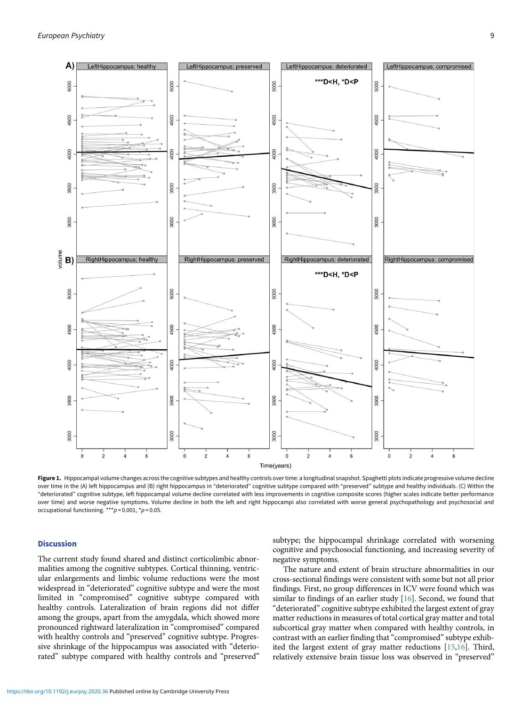<span id="page-8-0"></span>

Figure 1. Hippocampal volume changes across the cognitive subtypes and healthy controls over time: a longitudinal snapshot. Spaghetti plots indicate progressive volume decline over time in the (A) left hippocampus and (B) right hippocampus in "deteriorated" cognitive subtype compared with "preserved" subtype and healthy individuals. (C) Within the "deteriorated" cognitive subtype, left hippocampal volume decline correlated with less improvements in cognitive composite scores (higher scales indicate better performance over time) and worse negative symptoms. Volume decline in both the left and right hippocampi also correlated with worse general psychopathology and psychosocial and occupational functioning. \*\*\*p < 0.001, \*p < 0.05.

## **Discussion**

The current study found shared and distinct corticolimbic abnormalities among the cognitive subtypes. Cortical thinning, ventricular enlargements and limbic volume reductions were the most widespread in "deteriorated" cognitive subtype and were the most limited in "compromised" cognitive subtype compared with healthy controls. Lateralization of brain regions did not differ among the groups, apart from the amygdala, which showed more pronounced rightward lateralization in "compromised" compared with healthy controls and "preserved" cognitive subtype. Progressive shrinkage of the hippocampus was associated with "deteriorated" subtype compared with healthy controls and "preserved"

subtype; the hippocampal shrinkage correlated with worsening cognitive and psychosocial functioning, and increasing severity of negative symptoms.

The nature and extent of brain structure abnormalities in our cross-sectional findings were consistent with some but not all prior findings. First, no group differences in ICV were found which was similar to findings of an earlier study [[16\]](#page-11-11). Second, we found that "deteriorated" cognitive subtype exhibited the largest extent of gray matter reductions in measures of total cortical gray matter and total subcortical gray matter when compared with healthy controls, in contrast with an earlier finding that "compromised" subtype exhibited the largest extent of gray matter reductions [\[15,](#page-11-12)[16\]](#page-11-11). Third, relatively extensive brain tissue loss was observed in "preserved"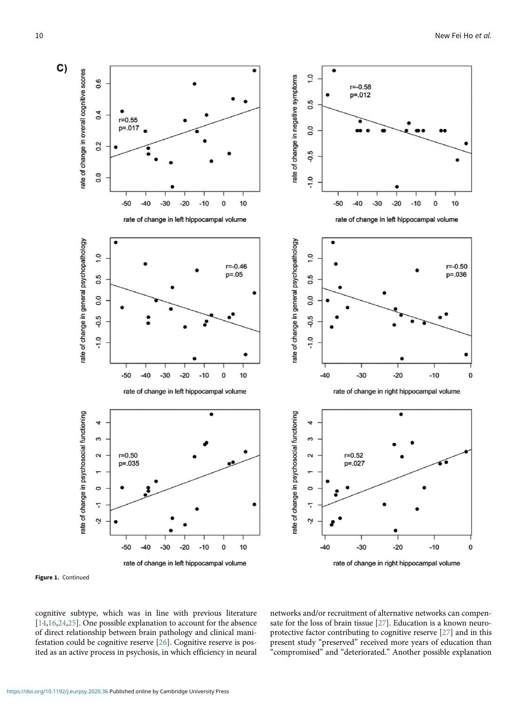<span id="page-9-0"></span>

Figure 1. Continued

cognitive subtype, which was in line with previous literature [[14](#page-11-10)[,16](#page-11-11)[,24](#page-11-20)[,25](#page-11-21)]. One possible explanation to account for the absence of direct relationship between brain pathology and clinical manifestation could be cognitive reserve [[26\]](#page-11-22). Cognitive reserve is posited as an active process in psychosis, in which efficiency in neural networks and/or recruitment of alternative networks can compensate for the loss of brain tissue [\[27](#page-11-23)]. Education is a known neuroprotective factor contributing to cognitive reserve [\[27](#page-11-23)] and in this present study "preserved" received more years of education than "compromised" and "deteriorated." Another possible explanation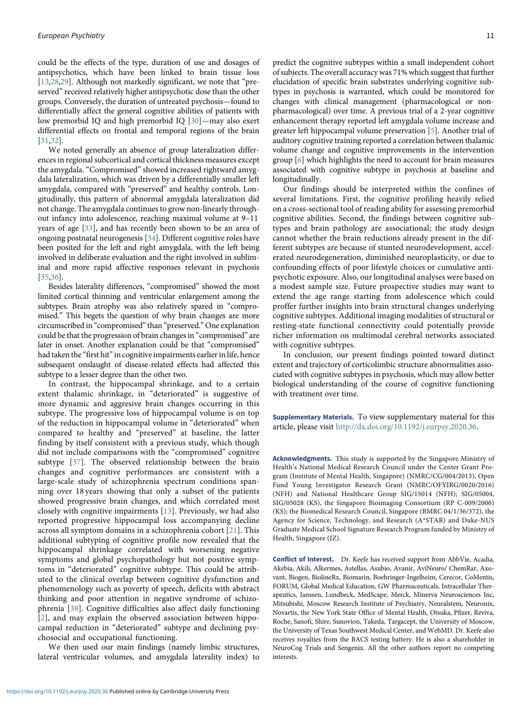could be the effects of the type, duration of use and dosages of antipsychotics, which have been linked to brain tissue loss [[13,](#page-11-9)[28](#page-11-24)[,29](#page-11-25)]. Although not markedly significant, we note that "preserved" received relatively higher antipsychotic dose than the other groups. Conversely, the duration of untreated psychosis—found to differentially affect the general cognitive abilities of patients with low premorbid IQ and high premorbid IQ [\[30\]](#page-11-26)—may also exert differential effects on frontal and temporal regions of the brain [[31,](#page-11-27)[32\]](#page-11-28).

We noted generally an absence of group lateralization differences in regional subcortical and cortical thickness measures except the amygdala. "Compromised" showed increased rightward amygdala lateralization, which was driven by a differentially smaller left amygdala, compared with "preserved" and healthy controls. Longitudinally, this pattern of abnormal amygdala lateralization did not change. The amygdala continues to grow non-linearly throughout infancy into adolescence, reaching maximal volume at 9–11 years of age [\[33](#page-11-29)], and has recently been shown to be an area of ongoing postnatal neurogenesis [[34\]](#page-11-30). Different cognitive roles have been posited for the left and right amygdala, with the left being involved in deliberate evaluation and the right involved in subliminal and more rapid affective responses relevant in psychosis [[35,](#page-11-31)[36\]](#page-11-32).

Besides laterality differences, "compromised" showed the most limited cortical thinning and ventricular enlargement among the subtypes. Brain atrophy was also relatively spared in "compromised." This begets the question of why brain changes are more circumscribed in "compromised" than "preserved." One explanation could be that the progression of brain changes in "compromised" are later in onset. Another explanation could be that "compromised" had taken the "first hit" in cognitive impairments earlier in life, hence subsequent onslaught of disease-related effects had affected this subtype to a lesser degree than the other two.

In contrast, the hippocampal shrinkage, and to a certain extent thalamic shrinkage, in "deteriorated" is suggestive of more dynamic and aggresive brain changes occurring in this subtype. The progressive loss of hippocampal volume is on top of the reduction in hippocampal volume in "deteriorated" when compared to healthy and "preserved" at baseline, the latter finding by itself consistent with a previous study, which though did not include comparisons with the "compromised" cognitive subtype [[37\]](#page-11-33). The observed relationship between the brain changes and cognitive performances are consistent with a large-scale study of schizophrenia spectrum conditions spanning over 18 years showing that only a subset of the patients showed progressive brain changes, and which correlated most closely with cognitive impairments [[13](#page-11-9)]. Previously, we had also reported progressive hippocampal loss accompanying decline across all symptom domains in a schizophrenia cohort [\[21\]](#page-11-17). This additional subtyping of cognitive profile now revealed that the hippocampal shrinkage correlated with worsening negative symptoms and global psychopathology but not positive symptoms in "deteriorated" cognitive subtype. This could be attributed to the clinical overlap between cognitive dysfunction and phenomenology such as poverty of speech, deficits with abstract thinking and poor attention in negative syndrome of schizophrenia [[38](#page-11-34)]. Cognitive difficulties also affect daily functioning [[2\]](#page-11-1), and may explain the observed association between hippocampal reduction in "deteriorated" subtype and declining psychosocial and occupational functioning.

We then used our main findings (namely limbic structures, lateral ventricular volumes, and amygdala laterality index) to

predict the cognitive subtypes within a small independent cohort of subjects. The overall accuracy was 71% which suggest that further elucidation of specific brain substrates underlying cognitive subtypes in psychosis is warranted, which could be monitored for changes with clinical management (pharmacological or nonpharmacological) over time. A previous trial of a 2-year cognitive enhancement therapy reported left amygdala volume increase and greater left hippocampal volume preservation [\[5\]](#page-11-4). Another trial of auditory cognitive training reported a correlation between thalamic volume change and cognitive improvements in the intervention group [\[6\]](#page-11-5) which highlights the need to account for brain measures associated with cognitive subtype in psychosis at baseline and longitudinally.

Our findings should be interpreted within the confines of several limitations. First, the cognitive profiling heavily relied on a cross-sectional tool of reading ability for assessing premorbid cognitive abilities. Second, the findings between cognitive subtypes and brain pathology are associational; the study design cannot whether the brain reductions already present in the different subtypes are because of stunted neurodevelopment, accelerated neurodegeneration, diminished neuroplasticity, or due to confounding effects of poor lifestyle choices or cumulative antipsychotic exposure. Also, our longitudinal analyses were based on a modest sample size. Future prospective studies may want to extend the age range starting from adolescence which could proffer further insights into brain structural changes underlying cognitive subtypes. Additional imaging modalities of structural or resting-state functional connectivity could potentially provide richer information on multimodal cerebral networks associated with cognitive subtypes.

In conclusion, our present findings pointed toward distinct extent and trajectory of corticolimbic structure abnormalities associated with cognitive subtypes in psychosis, which may allow better biological understanding of the course of cognitive functioning with treatment over time.

Supplementary Materials. To view supplementary material for this article, please visit [http://dx.doi.org/10.1192/j.eurpsy.2020.36.](http://dx.doi.org/10.1192/j.eurpsy.2020.36)

Acknowledgments. This study is supported by the Singapore Ministry of Health's National Medical Research Council under the Center Grant Program (Institute of Mental Health, Singapore) (NMRC/CG/004/2013), Open Fund Young Investigator Research Grant (NMRC/OFYIRG/0020/2016) (NFH) and National Healthcare Group SIG/15014 (NFH); SIG/05004, SIG/05028 (KS), the Singapore Bioimaging Consortium (RP C-009/2006) (KS); the Biomedical Research Council, Singapore (BMRC 04/1/36/372), the Agency for Science, Technology, and Research (A\*STAR) and Duke-NUS Graduate Medical School Signature Research Program funded by Ministry of Health, Singapore (JZ).

Conflict of Interest. Dr. Keefe has received support from AbbVie, Acadia, Akebia, Akili, Alkermes, Astellas, Asubio, Avanir, AviNeuro/ ChemRar, Axovant, Biogen, BiolineRx, Biomarin, Boehringer-Ingelheim, Cerecor, CoMentis, FORUM, Global Medical Education, GW Pharmaceuticals, Intracellular Therapeutics, Janssen, Lundbeck, MedScape, Merck, Minerva Neurosciences Inc, Mitsubishi, Moscow Research Institute of Psychiatry, Neuralstem, Neuronix, Novartis, the New York State Office of Mental Health, Otsuka, Pfizer, Reviva, Roche, Sanofi, Shire, Sunovion, Takeda, Targacept, the University of Moscow, the University of Texas Southwest Medical Center, and WebMD. Dr. Keefe also receives royalties from the BACS testing battery. He is also a shareholder in NeuroCog Trials and Sengenix. All the other authors report no competing interests.